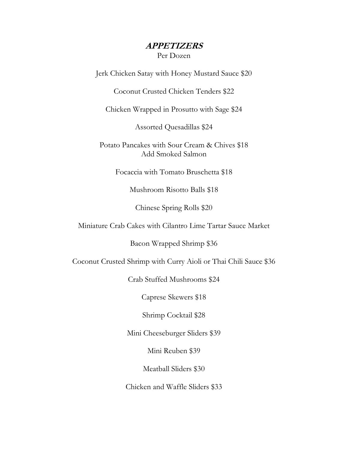# **APPETIZERS**

Per Dozen

Jerk Chicken Satay with Honey Mustard Sauce \$20

Coconut Crusted Chicken Tenders \$22

Chicken Wrapped in Prosutto with Sage \$24

Assorted Quesadillas \$24

Potato Pancakes with Sour Cream & Chives \$18 Add Smoked Salmon

Focaccia with Tomato Bruschetta \$18

Mushroom Risotto Balls \$18

Chinese Spring Rolls \$20

Miniature Crab Cakes with Cilantro Lime Tartar Sauce Market

Bacon Wrapped Shrimp \$36

Coconut Crusted Shrimp with Curry Aioli or Thai Chili Sauce \$36

Crab Stuffed Mushrooms \$24

Caprese Skewers \$18

Shrimp Cocktail \$28

Mini Cheeseburger Sliders \$39

Mini Reuben \$39

Meatball Sliders \$30

Chicken and Waffle Sliders \$33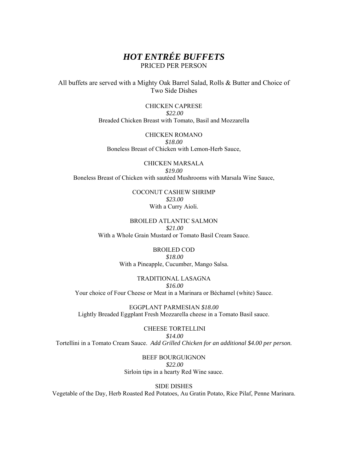# *HOT ENTRÉE BUFFETS*  PRICED PER PERSON

All buffets are served with a Mighty Oak Barrel Salad, Rolls & Butter and Choice of Two Side Dishes

> CHICKEN CAPRESE *\$22.00* Breaded Chicken Breast with Tomato, Basil and Mozzarella

CHICKEN ROMANO *\$18.00* Boneless Breast of Chicken with Lemon-Herb Sauce,

CHICKEN MARSALA *\$19.00* Boneless Breast of Chicken with sautéed Mushrooms with Marsala Wine Sauce,

> COCONUT CASHEW SHRIMP *\$23.00* With a Curry Aioli.

BROILED ATLANTIC SALMON *\$21.00* With a Whole Grain Mustard or Tomato Basil Cream Sauce.

> BROILED COD *\$18.00* With a Pineapple, Cucumber, Mango Salsa.

TRADITIONAL LASAGNA *\$16.00*  Your choice of Four Cheese or Meat in a Marinara or Béchamel (white) Sauce.

EGGPLANT PARMESIAN *\$18.00* Lightly Breaded Eggplant Fresh Mozzarella cheese in a Tomato Basil sauce.

 CHEESE TORTELLINI *\$14.00* Tortellini in a Tomato Cream Sauce. *Add Grilled Chicken for an additional \$4.00 per person.*

> BEEF BOURGUIGNON *\$22.00* Sirloin tips in a hearty Red Wine sauce.

> > SIDE DISHES

Vegetable of the Day, Herb Roasted Red Potatoes, Au Gratin Potato, Rice Pilaf, Penne Marinara.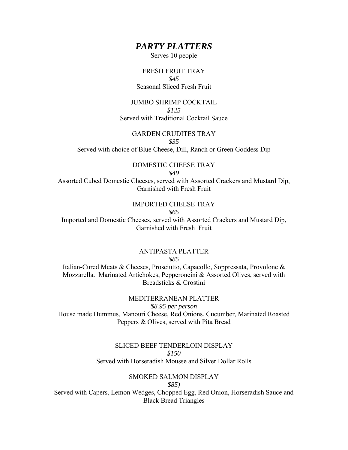# *PARTY PLATTERS*

Serves 10 people

## FRESH FRUIT TRAY *\$45*  Seasonal Sliced Fresh Fruit

## JUMBO SHRIMP COCKTAIL *\$125*  Served with Traditional Cocktail Sauce

## GARDEN CRUDITES TRAY

#### *\$35*

Served with choice of Blue Cheese, Dill, Ranch or Green Goddess Dip

#### DOMESTIC CHEESE TRAY *\$49*

Assorted Cubed Domestic Cheeses, served with Assorted Crackers and Mustard Dip, Garnished with Fresh Fruit

# IMPORTED CHEESE TRAY

### *\$65*

Imported and Domestic Cheeses, served with Assorted Crackers and Mustard Dip, Garnished with Fresh Fruit

#### ANTIPASTA PLATTER *\$85*

Italian-Cured Meats & Cheeses, Prosciutto, Capacollo, Soppressata, Provolone & Mozzarella. Marinated Artichokes, Pepperoncini & Assorted Olives, served with Breadsticks & Crostini

MEDITERRANEAN PLATTER *\$8.95 per person*  House made Hummus, Manouri Cheese, Red Onions, Cucumber, Marinated Roasted Peppers & Olives, served with Pita Bread

### SLICED BEEF TENDERLOIN DISPLAY *\$150*  Served with Horseradish Mousse and Silver Dollar Rolls

# SMOKED SALMON DISPLAY

### *\$85)*

Served with Capers, Lemon Wedges, Chopped Egg, Red Onion, Horseradish Sauce and Black Bread Triangles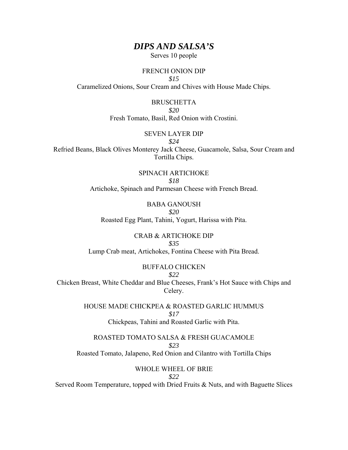# *DIPS AND SALSA'S*

Serves 10 people

#### FRENCH ONION DIP

*\$15* 

Caramelized Onions, Sour Cream and Chives with House Made Chips.

BRUSCHETTA *\$20*  Fresh Tomato, Basil, Red Onion with Crostini.

#### SEVEN LAYER DIP

*\$24* 

Refried Beans, Black Olives Monterey Jack Cheese, Guacamole, Salsa, Sour Cream and Tortilla Chips.

> SPINACH ARTICHOKE *\$18* Artichoke, Spinach and Parmesan Cheese with French Bread.

BABA GANOUSH *\$20*  Roasted Egg Plant, Tahini, Yogurt, Harissa with Pita.

CRAB & ARTICHOKE DIP *\$35* Lump Crab meat, Artichokes, Fontina Cheese with Pita Bread.

# BUFFALO CHICKEN

*\$22* 

Chicken Breast, White Cheddar and Blue Cheeses, Frank's Hot Sauce with Chips and Celery.

> HOUSE MADE CHICKPEA & ROASTED GARLIC HUMMUS *\$17* Chickpeas, Tahini and Roasted Garlic with Pita.

ROASTED TOMATO SALSA & FRESH GUACAMOLE *\$23* Roasted Tomato, Jalapeno, Red Onion and Cilantro with Tortilla Chips

WHOLE WHEEL OF BRIE

*\$22*

Served Room Temperature, topped with Dried Fruits & Nuts, and with Baguette Slices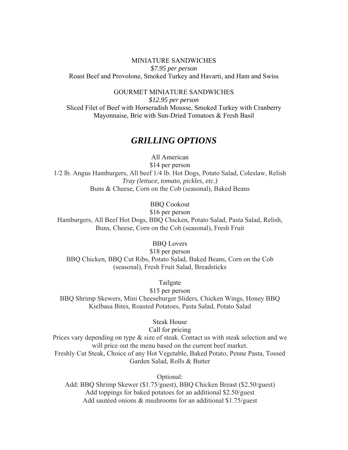### MINIATURE SANDWICHES *\$7.95 per person*  Roast Beef and Provolone, Smoked Turkey and Havarti, and Ham and Swiss

GOURMET MINIATURE SANDWICHES

*\$12.95 per person*  Sliced Filet of Beef with Horseradish Mousse, Smoked Turkey with Cranberry Mayonnaise, Brie with Sun-Dried Tomatoes & Fresh Basil

# *GRILLING OPTIONS*

All American \$14 per person 1/2 lb. Angus Hamburgers, All beef 1/4 lb. Hot Dogs, Potato Salad, Coleslaw, Relish *Tray (lettuce, tomato, pickles, etc.)*  Buns & Cheese, Corn on the Cob (seasonal), Baked Beans

BBQ Cookout

\$16 per person

Hamburgers, All Beef Hot Dogs, BBQ Chicken, Potato Salad, Pasta Salad, Relish, Buns, Cheese, Corn on the Cob (seasonal), Fresh Fruit

BBQ Lovers

\$18 per person BBQ Chicken, BBQ Cut Ribs, Potato Salad, Baked Beans, Corn on the Cob (seasonal), Fresh Fruit Salad, Breadsticks

Tailgate

\$15 per person BBQ Shrimp Skewers, Mini Cheeseburger Sliders, Chicken Wings, Honey BBQ Kielbasa Bites, Roasted Potatoes, Pasta Salad, Potato Salad

Steak House

Call for pricing

Prices vary depending on type & size of steak. Contact us with steak selection and we will price out the menu based on the current beef market. Freshly Cut Steak, Choice of any Hot Vegetable, Baked Potato, Penne Pasta, Tossed Garden Salad, Rolls & Butter

Optional:

Add: BBQ Shrimp Skewer (\$1.75/guest), BBQ Chicken Breast (\$2.50/guest) Add toppings for baked potatoes for an additional \$2.50/guest Add sautéed onions & mushrooms for an additional \$1.75/guest